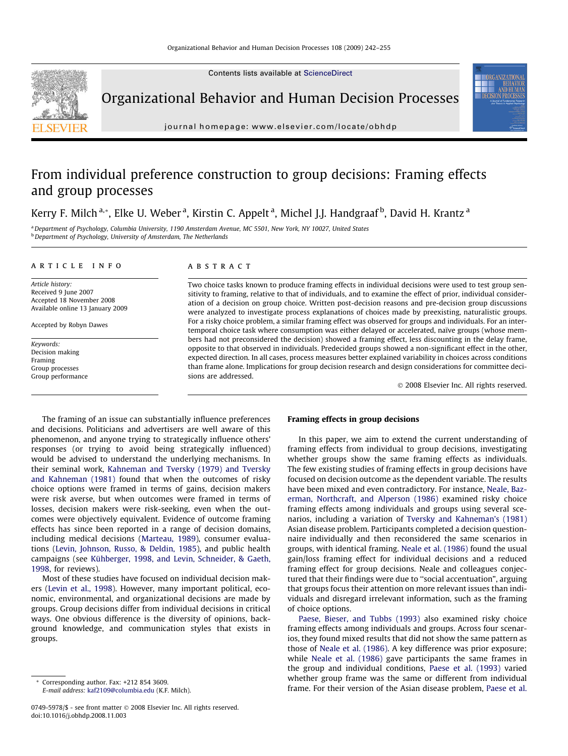Contents lists available at [ScienceDirect](http://www.sciencedirect.com/science/journal/07495978)



Organizational Behavior and Human Decision Processes

journal homepage: [www.elsevier.com/locate/obhdp](http://www.elsevier.com/locate/obhdp)

# From individual preference construction to group decisions: Framing effects and group processes

Kerry F. Milch <sup>a,</sup>\*, Elke U. Weber <sup>a</sup>, Kirstin C. Appelt <sup>a</sup>, Michel J.J. Handgraaf <sup>b</sup>, David H. Krantz <sup>a</sup>

a Department of Psychology, Columbia University, 1190 Amsterdam Avenue, MC 5501, New York, NY 10027, United States **b** Department of Psychology, University of Amsterdam, The Netherlands

## article info

Article history: Received 9 June 2007 Accepted 18 November 2008 Available online 13 January 2009

Accepted by Robyn Dawes

#### **ABSTRACT**

Two choice tasks known to produce framing effects in individual decisions were used to test group sensitivity to framing, relative to that of individuals, and to examine the effect of prior, individual consideration of a decision on group choice. Written post-decision reasons and pre-decision group discussions were analyzed to investigate process explanations of choices made by preexisting, naturalistic groups. For a risky choice problem, a similar framing effect was observed for groups and individuals. For an intertemporal choice task where consumption was either delayed or accelerated, naïve groups (whose members had not preconsidered the decision) showed a framing effect, less discounting in the delay frame, opposite to that observed in individuals. Predecided groups showed a non-significant effect in the other, expected direction. In all cases, process measures better explained variability in choices across conditions than frame alone. Implications for group decision research and design considerations for committee decisions are addressed.

- 2008 Elsevier Inc. All rights reserved.

The framing of an issue can substantially influence preferences and decisions. Politicians and advertisers are well aware of this phenomenon, and anyone trying to strategically influence others' responses (or trying to avoid being strategically influenced) would be advised to understand the underlying mechanisms. In their seminal work, [Kahneman and Tversky \(1979\) and Tversky](#page-12-0) [and Kahneman \(1981\)](#page-12-0) found that when the outcomes of risky choice options were framed in terms of gains, decision makers were risk averse, but when outcomes were framed in terms of losses, decision makers were risk-seeking, even when the outcomes were objectively equivalent. Evidence of outcome framing effects has since been reported in a range of decision domains, including medical decisions [\(Marteau, 1989](#page-13-0)), consumer evaluations [\(Levin, Johnson, Russo, & Deldin, 1985](#page-13-0)), and public health campaigns (see [Kühberger, 1998, and Levin, Schneider, & Gaeth,](#page-12-0) [1998,](#page-12-0) for reviews).

Most of these studies have focused on individual decision makers [\(Levin et al., 1998\)](#page-13-0). However, many important political, economic, environmental, and organizational decisions are made by groups. Group decisions differ from individual decisions in critical ways. One obvious difference is the diversity of opinions, background knowledge, and communication styles that exists in groups.

\* Corresponding author. Fax: +212 854 3609. E-mail address: [kaf2109@columbia.edu](mailto:kaf2109@columbia.edu) (K.F. Milch).

#### Framing effects in group decisions

In this paper, we aim to extend the current understanding of framing effects from individual to group decisions, investigating whether groups show the same framing effects as individuals. The few existing studies of framing effects in group decisions have focused on decision outcome as the dependent variable. The results have been mixed and even contradictory. For instance, [Neale, Baz](#page-13-0)[erman, Northcraft, and Alperson \(1986\)](#page-13-0) examined risky choice framing effects among individuals and groups using several scenarios, including a variation of [Tversky and Kahneman's \(1981\)](#page-13-0) Asian disease problem. Participants completed a decision questionnaire individually and then reconsidered the same scenarios in groups, with identical framing. [Neale et al. \(1986\)](#page-13-0) found the usual gain/loss framing effect for individual decisions and a reduced framing effect for group decisions. Neale and colleagues conjectured that their findings were due to ''social accentuation", arguing that groups focus their attention on more relevant issues than individuals and disregard irrelevant information, such as the framing of choice options.

[Paese, Bieser, and Tubbs \(1993\)](#page-13-0) also examined risky choice framing effects among individuals and groups. Across four scenarios, they found mixed results that did not show the same pattern as those of [Neale et al. \(1986\)](#page-13-0). A key difference was prior exposure; while [Neale et al. \(1986\)](#page-13-0) gave participants the same frames in the group and individual conditions, [Paese et al. \(1993\)](#page-13-0) varied whether group frame was the same or different from individual frame. For their version of the Asian disease problem, [Paese et al.](#page-13-0)

Keywords: Decision making Framing Group processes Group performance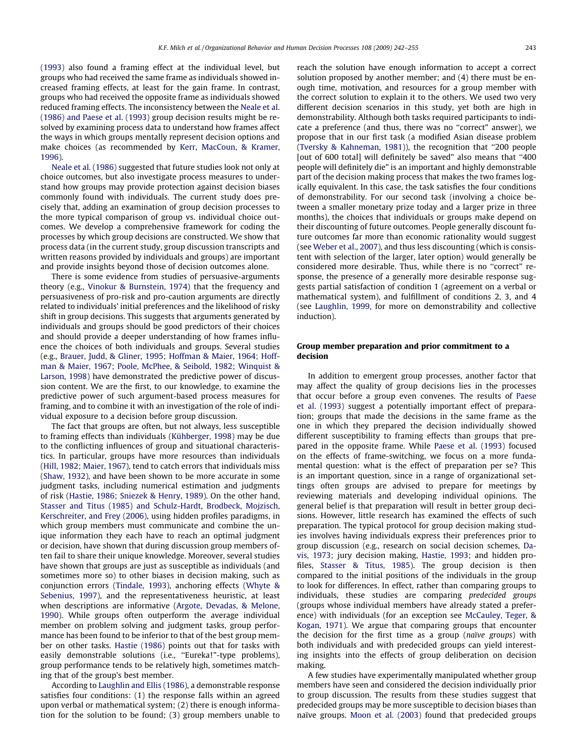[\(1993\)](#page-13-0) also found a framing effect at the individual level, but groups who had received the same frame as individuals showed increased framing effects, at least for the gain frame. In contrast, groups who had received the opposite frame as individuals showed reduced framing effects. The inconsistency between the [Neale et al.](#page-13-0) [\(1986\) and Paese et al. \(1993\)](#page-13-0) group decision results might be resolved by examining process data to understand how frames affect the ways in which groups mentally represent decision options and make choices (as recommended by [Kerr, MacCoun, & Kramer,](#page-12-0) [1996\)](#page-12-0).

[Neale et al. \(1986\)](#page-13-0) suggested that future studies look not only at choice outcomes, but also investigate process measures to understand how groups may provide protection against decision biases commonly found with individuals. The current study does precisely that, adding an examination of group decision processes to the more typical comparison of group vs. individual choice outcomes. We develop a comprehensive framework for coding the processes by which group decisions are constructed. We show that process data (in the current study, group discussion transcripts and written reasons provided by individuals and groups) are important and provide insights beyond those of decision outcomes alone.

There is some evidence from studies of persuasive-arguments theory (e.g., [Vinokur & Burnstein, 1974\)](#page-13-0) that the frequency and persuasiveness of pro-risk and pro-caution arguments are directly related to individuals' initial preferences and the likelihood of risky shift in group decisions. This suggests that arguments generated by individuals and groups should be good predictors of their choices and should provide a deeper understanding of how frames influence the choices of both individuals and groups. Several studies (e.g., [Brauer, Judd, & Gliner, 1995; Hoffman & Maier, 1964; Hoff](#page-12-0)[man & Maier, 1967; Poole, McPhee, & Seibold, 1982; Winquist &](#page-12-0) [Larson, 1998](#page-12-0)) have demonstrated the predictive power of discussion content. We are the first, to our knowledge, to examine the predictive power of such argument-based process measures for framing, and to combine it with an investigation of the role of individual exposure to a decision before group discussion.

The fact that groups are often, but not always, less susceptible to framing effects than individuals ([Kühberger, 1998](#page-12-0)) may be due to the conflicting influences of group and situational characteristics. In particular, groups have more resources than individuals ([Hill, 1982; Maier, 1967](#page-12-0)), tend to catch errors that individuals miss ([Shaw, 1932\)](#page-13-0), and have been shown to be more accurate in some judgment tasks, including numerical estimation and judgments of risk ([Hastie, 1986; Sniezek & Henry, 1989](#page-12-0)). On the other hand, [Stasser and Titus \(1985\) and Schulz-Hardt, Brodbeck, Mojzisch,](#page-13-0) [Kerschreiter, and Frey \(2006\),](#page-13-0) using hidden profiles paradigms, in which group members must communicate and combine the unique information they each have to reach an optimal judgment or decision, have shown that during discussion group members often fail to share their unique knowledge. Moreover, several studies have shown that groups are just as susceptible as individuals (and sometimes more so) to other biases in decision making, such as conjunction errors ([Tindale, 1993\)](#page-13-0), anchoring effects [\(Whyte &](#page-13-0) [Sebenius, 1997\)](#page-13-0), and the representativeness heuristic, at least when descriptions are informative [\(Argote, Devadas, & Melone,](#page-12-0) [1990\)](#page-12-0). While groups often outperform the average individual member on problem solving and judgment tasks, group performance has been found to be inferior to that of the best group member on other tasks. [Hastie \(1986\)](#page-12-0) points out that for tasks with easily demonstrable solutions (i.e., "Eureka!"-type problems), group performance tends to be relatively high, sometimes matching that of the group's best member.

According to [Laughlin and Ellis \(1986\)](#page-12-0), a demonstrable response satisfies four conditions: (1) the response falls within an agreed upon verbal or mathematical system; (2) there is enough information for the solution to be found; (3) group members unable to reach the solution have enough information to accept a correct solution proposed by another member; and (4) there must be enough time, motivation, and resources for a group member with the correct solution to explain it to the others. We used two very different decision scenarios in this study, yet both are high in demonstrability. Although both tasks required participants to indicate a preference (and thus, there was no ''correct" answer), we propose that in our first task (a modified Asian disease problem (Tversky [& Kahneman, 1981](#page-13-0))), the recognition that ''200 people [out of 600 total] will definitely be saved" also means that ''400 people will definitely die" is an important and highly demonstrable part of the decision making process that makes the two frames logically equivalent. In this case, the task satisfies the four conditions of demonstrability. For our second task (involving a choice between a smaller monetary prize today and a larger prize in three months), the choices that individuals or groups make depend on their discounting of future outcomes. People generally discount future outcomes far more than economic rationality would suggest (see [Weber et al., 2007](#page-13-0)), and thus less discounting (which is consistent with selection of the larger, later option) would generally be considered more desirable. Thus, while there is no ''correct" response, the presence of a generally more desirable response suggests partial satisfaction of condition 1 (agreement on a verbal or mathematical system), and fulfillment of conditions 2, 3, and 4 (see [Laughlin, 1999,](#page-12-0) for more on demonstrability and collective induction).

# Group member preparation and prior commitment to a decision

In addition to emergent group processes, another factor that may affect the quality of group decisions lies in the processes that occur before a group even convenes. The results of [Paese](#page-13-0) [et al. \(1993\)](#page-13-0) suggest a potentially important effect of preparation; groups that made the decisions in the same frame as the one in which they prepared the decision individually showed different susceptibility to framing effects than groups that prepared in the opposite frame. While [Paese et al. \(1993\)](#page-13-0) focused on the effects of frame-switching, we focus on a more fundamental question: what is the effect of preparation per se? This is an important question, since in a range of organizational settings often groups are advised to prepare for meetings by reviewing materials and developing individual opinions. The general belief is that preparation will result in better group decisions. However, little research has examined the effects of such preparation. The typical protocol for group decision making studies involves having individuals express their preferences prior to group discussion (e.g., research on social decision schemes, [Da](#page-12-0)[vis, 1973](#page-12-0); jury decision making, [Hastie, 1993](#page-12-0); and hidden profiles, [Stasser & Titus, 1985](#page-13-0)). The group decision is then compared to the initial positions of the individuals in the group to look for differences. In effect, rather than comparing groups to individuals, these studies are comparing predecided groups (groups whose individual members have already stated a preference) with individuals (for an exception see [McCauley, Teger, &](#page-13-0) [Kogan, 1971\)](#page-13-0). We argue that comparing groups that encounter the decision for the first time as a group (naïve groups) with both individuals and with predecided groups can yield interesting insights into the effects of group deliberation on decision making.

A few studies have experimentally manipulated whether group members have seen and considered the decision individually prior to group discussion. The results from these studies suggest that predecided groups may be more susceptible to decision biases than naïve groups. [Moon et al. \(2003\)](#page-13-0) found that predecided groups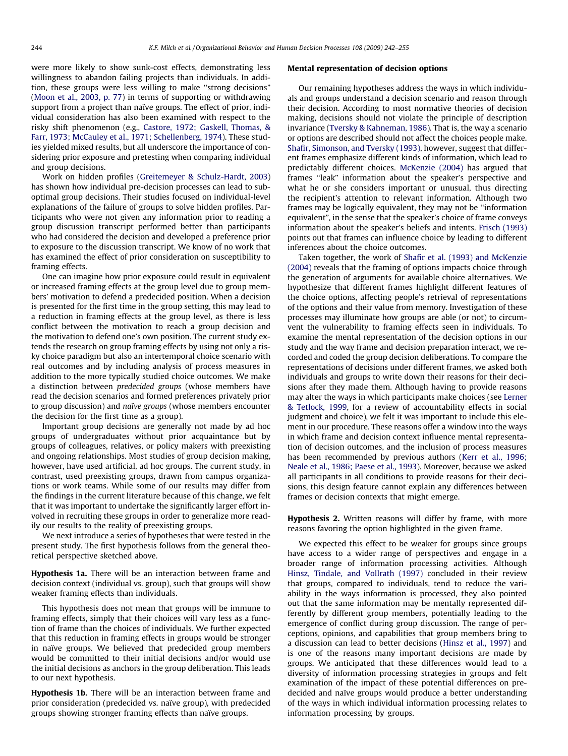<span id="page-2-0"></span>were more likely to show sunk-cost effects, demonstrating less willingness to abandon failing projects than individuals. In addition, these groups were less willing to make ''strong decisions" ([Moon et al., 2003, p. 77\)](#page-13-0) in terms of supporting or withdrawing support from a project than naïve groups. The effect of prior, individual consideration has also been examined with respect to the risky shift phenomenon (e.g., [Castore, 1972; Gaskell, Thomas, &](#page-12-0) [Farr, 1973; McCauley et al., 1971; Schellenberg, 1974\)](#page-12-0). These studies yielded mixed results, but all underscore the importance of considering prior exposure and pretesting when comparing individual and group decisions.

Work on hidden profiles ([Greitemeyer & Schulz-Hardt, 2003\)](#page-12-0) has shown how individual pre-decision processes can lead to suboptimal group decisions. Their studies focused on individual-level explanations of the failure of groups to solve hidden profiles. Participants who were not given any information prior to reading a group discussion transcript performed better than participants who had considered the decision and developed a preference prior to exposure to the discussion transcript. We know of no work that has examined the effect of prior consideration on susceptibility to framing effects.

One can imagine how prior exposure could result in equivalent or increased framing effects at the group level due to group members' motivation to defend a predecided position. When a decision is presented for the first time in the group setting, this may lead to a reduction in framing effects at the group level, as there is less conflict between the motivation to reach a group decision and the motivation to defend one's own position. The current study extends the research on group framing effects by using not only a risky choice paradigm but also an intertemporal choice scenario with real outcomes and by including analysis of process measures in addition to the more typically studied choice outcomes. We make a distinction between predecided groups (whose members have read the decision scenarios and formed preferences privately prior to group discussion) and naïve groups (whose members encounter the decision for the first time as a group).

Important group decisions are generally not made by ad hoc groups of undergraduates without prior acquaintance but by groups of colleagues, relatives, or policy makers with preexisting and ongoing relationships. Most studies of group decision making, however, have used artificial, ad hoc groups. The current study, in contrast, used preexisting groups, drawn from campus organizations or work teams. While some of our results may differ from the findings in the current literature because of this change, we felt that it was important to undertake the significantly larger effort involved in recruiting these groups in order to generalize more readily our results to the reality of preexisting groups.

We next introduce a series of hypotheses that were tested in the present study. The first hypothesis follows from the general theoretical perspective sketched above.

Hypothesis 1a. There will be an interaction between frame and decision context (individual vs. group), such that groups will show weaker framing effects than individuals.

This hypothesis does not mean that groups will be immune to framing effects, simply that their choices will vary less as a function of frame than the choices of individuals. We further expected that this reduction in framing effects in groups would be stronger in naïve groups. We believed that predecided group members would be committed to their initial decisions and/or would use the initial decisions as anchors in the group deliberation. This leads to our next hypothesis.

Hypothesis 1b. There will be an interaction between frame and prior consideration (predecided vs. naïve group), with predecided groups showing stronger framing effects than naïve groups.

# Mental representation of decision options

Our remaining hypotheses address the ways in which individuals and groups understand a decision scenario and reason through their decision. According to most normative theories of decision making, decisions should not violate the principle of description invariance ([Tversky & Kahneman, 1986\)](#page-13-0). That is, the way a scenario or options are described should not affect the choices people make. [Shafir, Simonson, and Tversky \(1993\),](#page-13-0) however, suggest that different frames emphasize different kinds of information, which lead to predictably different choices. [McKenzie \(2004\)](#page-13-0) has argued that frames ''leak" information about the speaker's perspective and what he or she considers important or unusual, thus directing the recipient's attention to relevant information. Although two frames may be logically equivalent, they may not be ''information equivalent", in the sense that the speaker's choice of frame conveys information about the speaker's beliefs and intents. [Frisch \(1993\)](#page-12-0) points out that frames can influence choice by leading to different inferences about the choice outcomes.

Taken together, the work of [Shafir et al. \(1993\) and McKenzie](#page-13-0) [\(2004\)](#page-13-0) reveals that the framing of options impacts choice through the generation of arguments for available choice alternatives. We hypothesize that different frames highlight different features of the choice options, affecting people's retrieval of representations of the options and their value from memory. Investigation of these processes may illuminate how groups are able (or not) to circumvent the vulnerability to framing effects seen in individuals. To examine the mental representation of the decision options in our study and the way frame and decision preparation interact, we recorded and coded the group decision deliberations. To compare the representations of decisions under different frames, we asked both individuals and groups to write down their reasons for their decisions after they made them. Although having to provide reasons may alter the ways in which participants make choices (see [Lerner](#page-13-0) [& Tetlock, 1999,](#page-13-0) for a review of accountability effects in social judgment and choice), we felt it was important to include this element in our procedure. These reasons offer a window into the ways in which frame and decision context influence mental representation of decision outcomes, and the inclusion of process measures has been recommended by previous authors ([Kerr et al., 1996;](#page-12-0) [Neale et al., 1986; Paese et al., 1993](#page-12-0)). Moreover, because we asked all participants in all conditions to provide reasons for their decisions, this design feature cannot explain any differences between frames or decision contexts that might emerge.

Hypothesis 2. Written reasons will differ by frame, with more reasons favoring the option highlighted in the given frame.

We expected this effect to be weaker for groups since groups have access to a wider range of perspectives and engage in a broader range of information processing activities. Although [Hinsz, Tindale, and Vollrath \(1997\)](#page-12-0) concluded in their review that groups, compared to individuals, tend to reduce the variability in the ways information is processed, they also pointed out that the same information may be mentally represented differently by different group members, potentially leading to the emergence of conflict during group discussion. The range of perceptions, opinions, and capabilities that group members bring to a discussion can lead to better decisions ([Hinsz et al., 1997\)](#page-12-0) and is one of the reasons many important decisions are made by groups. We anticipated that these differences would lead to a diversity of information processing strategies in groups and felt examination of the impact of these potential differences on predecided and naïve groups would produce a better understanding of the ways in which individual information processing relates to information processing by groups.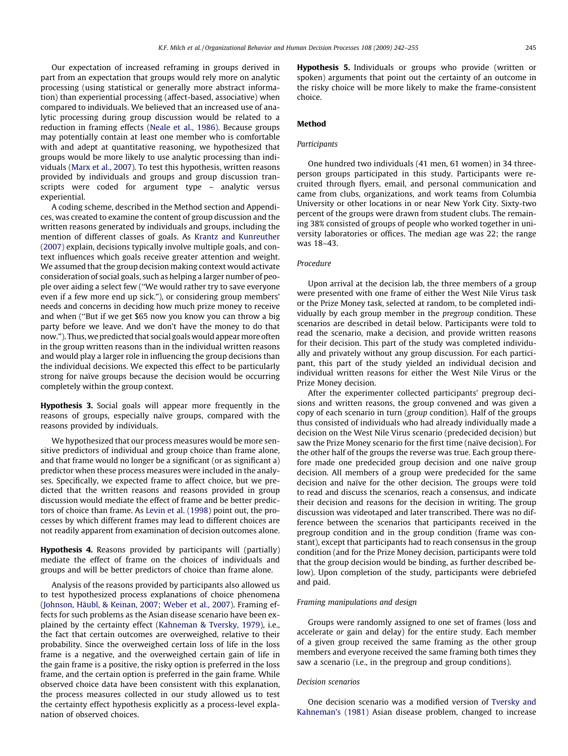<span id="page-3-0"></span>Our expectation of increased reframing in groups derived in part from an expectation that groups would rely more on analytic processing (using statistical or generally more abstract information) than experiential processing (affect-based, associative) when compared to individuals. We believed that an increased use of analytic processing during group discussion would be related to a reduction in framing effects [\(Neale et al., 1986\)](#page-13-0). Because groups may potentially contain at least one member who is comfortable with and adept at quantitative reasoning, we hypothesized that groups would be more likely to use analytic processing than individuals ([Marx et al., 2007](#page-13-0)). To test this hypothesis, written reasons provided by individuals and groups and group discussion transcripts were coded for argument type – analytic versus experiential.

A coding scheme, described in the Method section and Appendices, was created to examine the content of group discussion and the written reasons generated by individuals and groups, including the mention of different classes of goals. As [Krantz and Kunreuther](#page-12-0) [\(2007\)](#page-12-0) explain, decisions typically involve multiple goals, and context influences which goals receive greater attention and weight. We assumed that the group decision making context would activate consideration of social goals, such as helping a larger number of people over aiding a select few (''We would rather try to save everyone even if a few more end up sick."), or considering group members' needs and concerns in deciding how much prize money to receive and when (''But if we get \$65 now you know you can throw a big party before we leave. And we don't have the money to do that now."). Thus, we predicted that social goals would appear more often in the group written reasons than in the individual written reasons and would play a larger role in influencing the group decisions than the individual decisions. We expected this effect to be particularly strong for naïve groups because the decision would be occurring completely within the group context.

Hypothesis 3. Social goals will appear more frequently in the reasons of groups, especially naïve groups, compared with the reasons provided by individuals.

We hypothesized that our process measures would be more sensitive predictors of individual and group choice than frame alone, and that frame would no longer be a significant (or as significant a) predictor when these process measures were included in the analyses. Specifically, we expected frame to affect choice, but we predicted that the written reasons and reasons provided in group discussion would mediate the effect of frame and be better predictors of choice than frame. As [Levin et al. \(1998\)](#page-13-0) point out, the processes by which different frames may lead to different choices are not readily apparent from examination of decision outcomes alone.

Hypothesis 4. Reasons provided by participants will (partially) mediate the effect of frame on the choices of individuals and groups and will be better predictors of choice than frame alone.

Analysis of the reasons provided by participants also allowed us to test hypothesized process explanations of choice phenomena ([Johnson, Häubl, & Keinan, 2007; Weber et al., 2007\)](#page-12-0). Framing effects for such problems as the Asian disease scenario have been explained by the certainty effect ([Kahneman & Tversky, 1979\)](#page-12-0), i.e., the fact that certain outcomes are overweighed, relative to their probability. Since the overweighed certain loss of life in the loss frame is a negative, and the overweighed certain gain of life in the gain frame is a positive, the risky option is preferred in the loss frame, and the certain option is preferred in the gain frame. While observed choice data have been consistent with this explanation, the process measures collected in our study allowed us to test the certainty effect hypothesis explicitly as a process-level explanation of observed choices.

Hypothesis 5. Individuals or groups who provide (written or spoken) arguments that point out the certainty of an outcome in the risky choice will be more likely to make the frame-consistent choice.

## Method

# Participants

One hundred two individuals (41 men, 61 women) in 34 threeperson groups participated in this study. Participants were recruited through flyers, email, and personal communication and came from clubs, organizations, and work teams from Columbia University or other locations in or near New York City. Sixty-two percent of the groups were drawn from student clubs. The remaining 38% consisted of groups of people who worked together in university laboratories or offices. The median age was 22; the range was 18–43.

#### Procedure

Upon arrival at the decision lab, the three members of a group were presented with one frame of either the West Nile Virus task or the Prize Money task, selected at random, to be completed individually by each group member in the pregroup condition. These scenarios are described in detail below. Participants were told to read the scenario, make a decision, and provide written reasons for their decision. This part of the study was completed individually and privately without any group discussion. For each participant, this part of the study yielded an individual decision and individual written reasons for either the West Nile Virus or the Prize Money decision.

After the experimenter collected participants' pregroup decisions and written reasons, the group convened and was given a copy of each scenario in turn (group condition). Half of the groups thus consisted of individuals who had already individually made a decision on the West Nile Virus scenario (predecided decision) but saw the Prize Money scenario for the first time (naïve decision). For the other half of the groups the reverse was true. Each group therefore made one predecided group decision and one naïve group decision. All members of a group were predecided for the same decision and naïve for the other decision. The groups were told to read and discuss the scenarios, reach a consensus, and indicate their decision and reasons for the decision in writing. The group discussion was videotaped and later transcribed. There was no difference between the scenarios that participants received in the pregroup condition and in the group condition (frame was constant), except that participants had to reach consensus in the group condition (and for the Prize Money decision, participants were told that the group decision would be binding, as further described below). Upon completion of the study, participants were debriefed and paid.

#### Framing manipulations and design

Groups were randomly assigned to one set of frames (loss and accelerate or gain and delay) for the entire study. Each member of a given group received the same framing as the other group members and everyone received the same framing both times they saw a scenario (i.e., in the pregroup and group conditions).

#### Decision scenarios

One decision scenario was a modified version of [Tversky and](#page-13-0) [Kahneman's \(1981\)](#page-13-0) Asian disease problem, changed to increase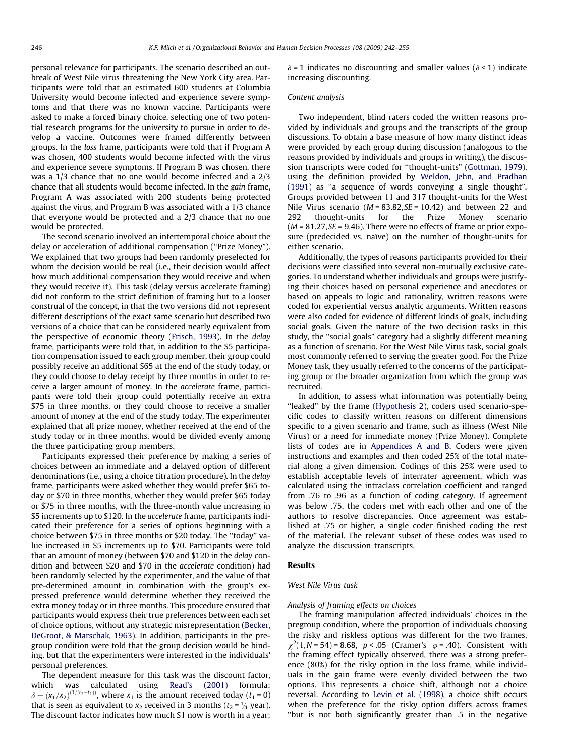personal relevance for participants. The scenario described an outbreak of West Nile virus threatening the New York City area. Participants were told that an estimated 600 students at Columbia University would become infected and experience severe symptoms and that there was no known vaccine. Participants were asked to make a forced binary choice, selecting one of two potential research programs for the university to pursue in order to develop a vaccine. Outcomes were framed differently between groups. In the loss frame, participants were told that if Program A was chosen, 400 students would become infected with the virus and experience severe symptoms. If Program B was chosen, there was a 1/3 chance that no one would become infected and a 2/3 chance that all students would become infected. In the gain frame, Program A was associated with 200 students being protected against the virus, and Program B was associated with a 1/3 chance that everyone would be protected and a 2/3 chance that no one would be protected.

The second scenario involved an intertemporal choice about the delay or acceleration of additional compensation (''Prize Money"). We explained that two groups had been randomly preselected for whom the decision would be real (i.e., their decision would affect how much additional compensation they would receive and when they would receive it). This task (delay versus accelerate framing) did not conform to the strict definition of framing but to a looser construal of the concept, in that the two versions did not represent different descriptions of the exact same scenario but described two versions of a choice that can be considered nearly equivalent from the perspective of economic theory [\(Frisch, 1993\)](#page-12-0). In the delay frame, participants were told that, in addition to the \$5 participation compensation issued to each group member, their group could possibly receive an additional \$65 at the end of the study today, or they could choose to delay receipt by three months in order to receive a larger amount of money. In the accelerate frame, participants were told their group could potentially receive an extra \$75 in three months, or they could choose to receive a smaller amount of money at the end of the study today. The experimenter explained that all prize money, whether received at the end of the study today or in three months, would be divided evenly among the three participating group members.

Participants expressed their preference by making a series of choices between an immediate and a delayed option of different denominations (i.e., using a choice titration procedure). In the delay frame, participants were asked whether they would prefer \$65 today or \$70 in three months, whether they would prefer \$65 today or \$75 in three months, with the three-month value increasing in \$5 increments up to \$120. In the accelerate frame, participants indicated their preference for a series of options beginning with a choice between \$75 in three months or \$20 today. The ''today" value increased in \$5 increments up to \$70. Participants were told that an amount of money (between \$70 and \$120 in the delay condition and between \$20 and \$70 in the accelerate condition) had been randomly selected by the experimenter, and the value of that pre-determined amount in combination with the group's expressed preference would determine whether they received the extra money today or in three months. This procedure ensured that participants would express their true preferences between each set of choice options, without any strategic misrepresentation ([Becker,](#page-12-0) [DeGroot, & Marschak, 1963\)](#page-12-0). In addition, participants in the pregroup condition were told that the group decision would be binding, but that the experimenters were interested in the individuals' personal preferences.

The dependent measure for this task was the discount factor, which was calculated using [Read's \(2001\)](#page-13-0) formula:  $\delta = (x_1/x_2)^{(1/(t_2-t_1))}$ , where  $x_1$  is the amount received today  $(t_1 = 0)$ that is seen as equivalent to  $x_2$  received in 3 months ( $t_2 = \frac{1}{4}$  year). The discount factor indicates how much \$1 now is worth in a year;

 $\delta$  = 1 indicates no discounting and smaller values ( $\delta$  < 1) indicate increasing discounting.

#### Content analysis

Two independent, blind raters coded the written reasons provided by individuals and groups and the transcripts of the group discussions. To obtain a base measure of how many distinct ideas were provided by each group during discussion (analogous to the reasons provided by individuals and groups in writing), the discussion transcripts were coded for ''thought-units" ([Gottman, 1979\)](#page-12-0), using the definition provided by [Weldon, Jehn, and Pradhan](#page-13-0) [\(1991\)](#page-13-0) as ''a sequence of words conveying a single thought". Groups provided between 11 and 317 thought-units for the West Nile Virus scenario ( $M = 83.82$ ,  $SE = 10.42$ ) and between 22 and 292 thought-units for the Prize Money scenario  $(M = 81.27, SE = 9.46)$ . There were no effects of frame or prior exposure (predecided vs. naïve) on the number of thought-units for either scenario.

Additionally, the types of reasons participants provided for their decisions were classified into several non-mutually exclusive categories. To understand whether individuals and groups were justifying their choices based on personal experience and anecdotes or based on appeals to logic and rationality, written reasons were coded for experiential versus analytic arguments. Written reasons were also coded for evidence of different kinds of goals, including social goals. Given the nature of the two decision tasks in this study, the ''social goals" category had a slightly different meaning as a function of scenario. For the West Nile Virus task, social goals most commonly referred to serving the greater good. For the Prize Money task, they usually referred to the concerns of the participating group or the broader organization from which the group was recruited.

In addition, to assess what information was potentially being "leaked" by the frame [\(Hypothesis 2](#page-2-0)), coders used scenario-specific codes to classify written reasons on different dimensions specific to a given scenario and frame, such as illness (West Nile Virus) or a need for immediate money (Prize Money). Complete lists of codes are in Appendices A and B. Coders were given instructions and examples and then coded 25% of the total material along a given dimension. Codings of this 25% were used to establish acceptable levels of interrater agreement, which was calculated using the intraclass correlation coefficient and ranged from .76 to .96 as a function of coding category. If agreement was below .75, the coders met with each other and one of the authors to resolve discrepancies. Once agreement was established at .75 or higher, a single coder finished coding the rest of the material. The relevant subset of these codes was used to analyze the discussion transcripts.

#### Results

## West Nile Virus task

## Analysis of framing effects on choices

The framing manipulation affected individuals' choices in the pregroup condition, where the proportion of individuals choosing the risky and riskless options was different for the two frames,  $\chi^2(1, N = 54) = 8.68$ ,  $p < .05$  (Cramer's  $\varphi = .40$ ). Consistent with the framing effect typically observed, there was a strong preference (80%) for the risky option in the loss frame, while individuals in the gain frame were evenly divided between the two options. This represents a choice shift, although not a choice reversal. According to [Levin et al. \(1998\),](#page-13-0) a choice shift occurs when the preference for the risky option differs across frames ''but is not both significantly greater than .5 in the negative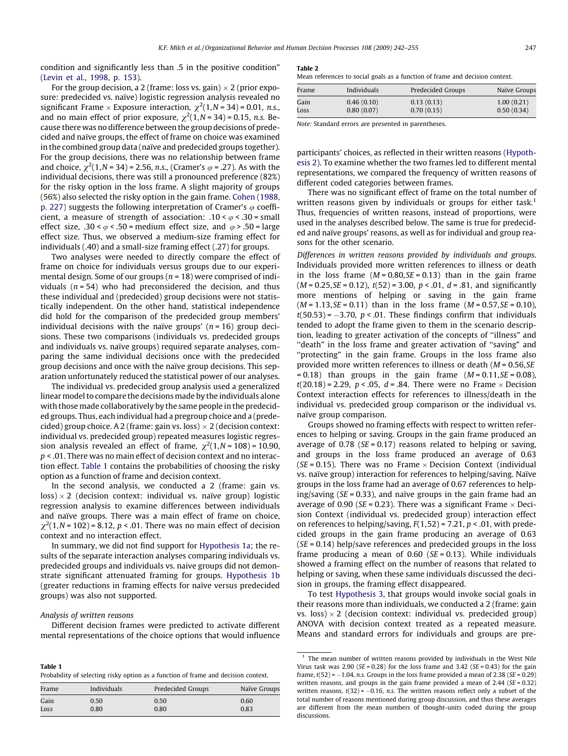<span id="page-5-0"></span>condition and significantly less than .5 in the positive condition" ([Levin et al., 1998, p. 153\)](#page-13-0).

For the group decision, a 2 (frame: loss vs. gain)  $\times$  2 (prior exposure: predecided vs. naïve) logistic regression analysis revealed no significant Frame  $\times$  Exposure interaction,  $\chi^2(1, N = 34) = 0.01$ , n.s., and no main effect of prior exposure,  $\chi^2(1, N = 34) = 0.15$ , n.s. Because there was no difference between the group decisions of predecided and naïve groups, the effect of frame on choice was examined in the combined group data (naïve and predecided groups together). For the group decisions, there was no relationship between frame and choice,  $\chi^2(1, N = 34) = 2.56$ , n.s., (Cramer's  $\varphi = .27$ ). As with the individual decisions, there was still a pronounced preference (82%) for the risky option in the loss frame. A slight majority of groups (56%) also selected the risky option in the gain frame. [Cohen \(1988,](#page-12-0) [p. 227\)](#page-12-0) suggests the following interpretation of Cramer's  $\varphi$  coefficient, a measure of strength of association:  $.10 < \varphi < .30$  = small effect size, .30 <  $\varphi$  < .50 = medium effect size, and  $\varphi$  > .50 = large effect size. Thus, we observed a medium-size framing effect for individuals (.40) and a small-size framing effect (.27) for groups.

Two analyses were needed to directly compare the effect of frame on choice for individuals versus groups due to our experimental design. Some of our groups ( $n = 18$ ) were comprised of individuals ( $n = 54$ ) who had preconsidered the decision, and thus these individual and (predecided) group decisions were not statistically independent. On the other hand, statistical independence did hold for the comparison of the predecided group members' individual decisions with the naïve groups' ( $n = 16$ ) group decisions. These two comparisons (individuals vs. predecided groups and individuals vs. naïve groups) required separate analyses, comparing the same individual decisions once with the predecided group decisions and once with the naïve group decisions. This separation unfortunately reduced the statistical power of our analyses.

The individual vs. predecided group analysis used a generalized linear model to compare the decisions made by the individuals alone with those made collaboratively by the same people in the predecided groups. Thus, each individual had a pregroup choice and a (predecided) group choice. A 2 (frame: gain vs. loss)  $\times$  2 (decision context: individual vs. predecided group) repeated measures logistic regression analysis revealed an effect of frame,  $\chi^2(1, N = 108) = 10.90$ , p < .01. There was no main effect of decision context and no interaction effect. Table 1 contains the probabilities of choosing the risky option as a function of frame and decision context.

In the second analysis, we conducted a 2 (frame: gain vs.  $\cos$ )  $\times$  2 (decision context: individual vs. naïve group) logistic regression analysis to examine differences between individuals and naïve groups. There was a main effect of frame on choice,  $\chi^2(1, N = 102) = 8.12$ ,  $p < .01$ . There was no main effect of decision context and no interaction effect.

In summary, we did not find support for [Hypothesis 1a;](#page-2-0) the results of the separate interaction analyses comparing individuals vs. predecided groups and individuals vs. naive groups did not demonstrate significant attenuated framing for groups. [Hypothesis 1b](#page-2-0) (greater reductions in framing effects for naïve versus predecided groups) was also not supported.

# Analysis of written reasons

Different decision frames were predicted to activate different mental representations of the choice options that would influence

Table 1 Probability of selecting risky option as a function of frame and decision context.

| Frame | Individuals | Predecided Groups | Naïve Groups |
|-------|-------------|-------------------|--------------|
| Gain  | 0.50        | 0.50              | 0.60         |
| Loss  | 0.80        | 0.80              | 0.83         |

#### Table 2

Mean references to social goals as a function of frame and decision context.

| Frame        | Individuals              | Predecided Groups        | Naïve Groups             |
|--------------|--------------------------|--------------------------|--------------------------|
| Gain<br>Loss | 0.46(0.10)<br>0.80(0.07) | 0.13(0.13)<br>0.70(0.15) | 1.00(0.21)<br>0.50(0.34) |
|              |                          |                          |                          |

Note: Standard errors are presented in parentheses.

participants' choices, as reflected in their written reasons [\(Hypoth](#page-2-0)[esis 2](#page-2-0)). To examine whether the two frames led to different mental representations, we compared the frequency of written reasons of different coded categories between frames.

There was no significant effect of frame on the total number of written reasons given by individuals or groups for either task.<sup>1</sup> Thus, frequencies of written reasons, instead of proportions, were used in the analyses described below. The same is true for predecided and naïve groups' reasons, as well as for individual and group reasons for the other scenario.

Differences in written reasons provided by individuals and groups. Individuals provided more written references to illness or death in the loss frame  $(M = 0.80, SE = 0.13)$  than in the gain frame  $(M = 0.25, SE = 0.12)$ ,  $t(52) = 3.00$ ,  $p < .01$ ,  $d = .81$ , and significantly more mentions of helping or saving in the gain frame  $(M = 1.13, SE = 0.11)$  than in the loss frame  $(M = 0.57, SE = 0.10)$ ,  $t(50.53)$  =  $-3.70$ ,  $p < 0.01$ . These findings confirm that individuals tended to adopt the frame given to them in the scenario description, leading to greater activation of the concepts of ''illness" and "death" in the loss frame and greater activation of "saving" and "protecting" in the gain frame. Groups in the loss frame also provided more written references to illness or death  $(M = 0.56, SE)$  $= 0.18$ ) than groups in the gain frame  $(M = 0.11, SE = 0.08)$ ,  $t(20.18) = 2.29$ ,  $p < .05$ ,  $d = .84$ . There were no Frame  $\times$  Decision Context interaction effects for references to illness/death in the individual vs. predecided group comparison or the individual vs. naïve group comparison.

Groups showed no framing effects with respect to written references to helping or saving. Groups in the gain frame produced an average of 0.78 ( $SE = 0.17$ ) reasons related to helping or saving, and groups in the loss frame produced an average of 0.63 ( $SE = 0.15$ ). There was no Frame  $\times$  Decision Context (individual vs. naïve group) interaction for references to helping/saving. Naïve groups in the loss frame had an average of 0.67 references to helping/saving ( $SE = 0.33$ ), and naïve groups in the gain frame had an average of 0.90 ( $SE = 0.23$ ). There was a significant Frame  $\times$  Decision Context (individual vs. predecided group) interaction effect on references to helping/saving,  $F(1,52) = 7.21$ ,  $p < .01$ , with predecided groups in the gain frame producing an average of 0.63  $(SE = 0.14)$  help/save references and predecided groups in the loss frame producing a mean of  $0.60$  (SE = 0.13). While individuals showed a framing effect on the number of reasons that related to helping or saving, when these same individuals discussed the decision in groups, the framing effect disappeared.

To test [Hypothesis 3,](#page-3-0) that groups would invoke social goals in their reasons more than individuals, we conducted a 2 (frame: gain vs. loss)  $\times$  2 (decision context: individual vs. predecided group) ANOVA with decision context treated as a repeated measure. Means and standard errors for individuals and groups are pre-

 $1$  The mean number of written reasons provided by individuals in the West Nile Virus task was 2.90 ( $SE = 0.28$ ) for the loss frame and 3.42 ( $SE = 0.43$ ) for the gain frame,  $t(52) = -1.04$ , n.s. Groups in the loss frame provided a mean of 2.38 (SE = 0.29) written reasons, and groups in the gain frame provided a mean of  $2.44$  (SE = 0.32) written reasons,  $t(32) = -0.16$ , n.s. The written reasons reflect only a subset of the total number of reasons mentioned during group discussion, and thus these averages are different from the mean numbers of thought-units coded during the group discussions.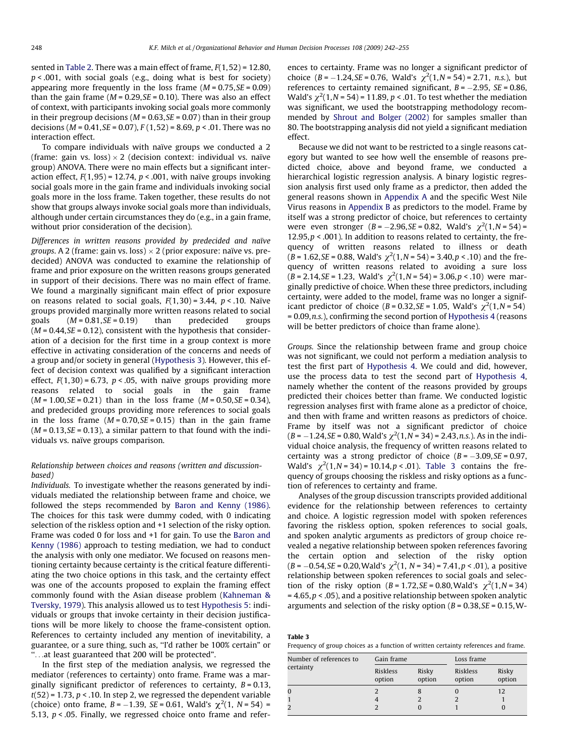sented in [Table 2.](#page-5-0) There was a main effect of frame,  $F(1,52) = 12.80$ .  $p < .001$ , with social goals (e.g., doing what is best for society) appearing more frequently in the loss frame  $(M = 0.75, SE = 0.09)$ than the gain frame ( $M = 0.29$ ,  $SE = 0.10$ ). There was also an effect of context, with participants invoking social goals more commonly in their pregroup decisions ( $M = 0.63$ ,  $SE = 0.07$ ) than in their group decisions ( $M = 0.41$ ,  $SE = 0.07$ ),  $F(1,52) = 8.69$ ,  $p < .01$ . There was no interaction effect.

To compare individuals with naïve groups we conducted a 2 (frame: gain vs.  $loss$ )  $\times$  2 (decision context: individual vs. naïve group) ANOVA. There were no main effects but a significant interaction effect,  $F(1,95) = 12.74$ ,  $p < .001$ , with naïve groups invoking social goals more in the gain frame and individuals invoking social goals more in the loss frame. Taken together, these results do not show that groups always invoke social goals more than individuals, although under certain circumstances they do (e.g., in a gain frame, without prior consideration of the decision).

Differences in written reasons provided by predecided and naïve groups. A 2 (frame: gain vs. loss)  $\times$  2 (prior exposure: naïve vs. predecided) ANOVA was conducted to examine the relationship of frame and prior exposure on the written reasons groups generated in support of their decisions. There was no main effect of frame. We found a marginally significant main effect of prior exposure on reasons related to social goals,  $F(1,30) = 3.44$ ,  $p < .10$ . Naïve groups provided marginally more written reasons related to social goals  $(M = 0.81, SE = 0.19)$  than predecided groups  $(M = 0.44, SE = 0.12)$ , consistent with the hypothesis that consideration of a decision for the first time in a group context is more effective in activating consideration of the concerns and needs of a group and/or society in general ([Hypothesis 3\)](#page-3-0). However, this effect of decision context was qualified by a significant interaction effect,  $F(1,30) = 6.73$ ,  $p < .05$ , with naïve groups providing more reasons related to social goals in the gain frame  $(M = 1.00, SE = 0.21)$  than in the loss frame  $(M = 0.50, SE = 0.34)$ , and predecided groups providing more references to social goals in the loss frame  $(M = 0.70, SE = 0.15)$  than in the gain frame  $(M = 0.13, SE = 0.13)$ , a similar pattern to that found with the individuals vs. naïve groups comparison.

# Relationship between choices and reasons (written and discussionbased)

Individuals. To investigate whether the reasons generated by individuals mediated the relationship between frame and choice, we followed the steps recommended by [Baron and Kenny \(1986\).](#page-12-0) The choices for this task were dummy coded, with 0 indicating selection of the riskless option and +1 selection of the risky option. Frame was coded 0 for loss and +1 for gain. To use the [Baron and](#page-12-0) [Kenny \(1986\)](#page-12-0) approach to testing mediation, we had to conduct the analysis with only one mediator. We focused on reasons mentioning certainty because certainty is the critical feature differentiating the two choice options in this task, and the certainty effect was one of the accounts proposed to explain the framing effect commonly found with the Asian disease problem ([Kahneman &](#page-12-0) [Tversky, 1979](#page-12-0)). This analysis allowed us to test [Hypothesis 5:](#page-3-0) individuals or groups that invoke certainty in their decision justifications will be more likely to choose the frame-consistent option. References to certainty included any mention of inevitability, a guarantee, or a sure thing, such as, ''I'd rather be 100% certain" or ''...at least guaranteed that 200 will be protected".

In the first step of the mediation analysis, we regressed the mediator (references to certainty) onto frame. Frame was a marginally significant predictor of references to certainty,  $B = 0.13$ ,  $t(52)$  = 1.73,  $p < 0.10$ . In step 2, we regressed the dependent variable (choice) onto frame,  $B = -1.39$ ,  $SE = 0.61$ , Wald's  $\chi^2(1, N = 54)$ 5.13,  $p < .05$ . Finally, we regressed choice onto frame and references to certainty. Frame was no longer a significant predictor of choice  $(B = -1.24$ ,  $SE = 0.76$ , Wald's  $\chi^2(1, N = 54) = 2.71$ , n.s.), but references to certainty remained significant,  $B = -2.95$ ,  $SE = 0.86$ , Wald's  $\chi^2(1, N = 54) = 11.89$ ,  $p < .01$ . To test whether the mediation was significant, we used the bootstrapping methodology recommended by [Shrout and Bolger \(2002\)](#page-13-0) for samples smaller than 80. The bootstrapping analysis did not yield a significant mediation effect.

Because we did not want to be restricted to a single reasons category but wanted to see how well the ensemble of reasons predicted choice, above and beyond frame, we conducted a hierarchical logistic regression analysis. A binary logistic regression analysis first used only frame as a predictor, then added the general reasons shown in Appendix A and the specific West Nile Virus reasons in Appendix B as predictors to the model. Frame by itself was a strong predictor of choice, but references to certainty were even stronger  $(B = -2.96, SE = 0.82, Wald's  $\chi^2(1, N = 54)$$ 12.95,  $p < .001$ ). In addition to reasons related to certainty, the frequency of written reasons related to illness or death  $(B = 1.62, SE = 0.88$ , Wald's  $\chi^2(1, N = 54) = 3.40, p < .10$  and the frequency of written reasons related to avoiding a sure loss  $(B = 2.14, SE = 1.23$ , Wald's  $\chi^2(1, N = 54) = 3.06, p < .10$ ) were marginally predictive of choice. When these three predictors, including certainty, were added to the model, frame was no longer a significant predictor of choice ( $B = 0.32$ ,  $SE = 1.05$ , Wald's  $\chi^2(1, N = 54)$  $= 0.09, n.s.$ ), confirming the second portion of [Hypothesis 4](#page-3-0) (reasons will be better predictors of choice than frame alone).

Groups. Since the relationship between frame and group choice was not significant, we could not perform a mediation analysis to test the first part of [Hypothesis 4.](#page-3-0) We could and did, however, use the process data to test the second part of [Hypothesis 4,](#page-3-0) namely whether the content of the reasons provided by groups predicted their choices better than frame. We conducted logistic regression analyses first with frame alone as a predictor of choice, and then with frame and written reasons as predictors of choice. Frame by itself was not a significant predictor of choice  $(B = -1.24$ ,  $SE = 0.80$ , Wald's  $\chi^2(1, N = 34) = 2.43$ , n.s.). As in the individual choice analysis, the frequency of written reasons related to certainty was a strong predictor of choice  $(B = -3.09, SE = 0.97,$ Wald's  $\chi^2(1, N = 34) = 10.14, p < .01$ ). Table 3 contains the frequency of groups choosing the riskless and risky options as a function of references to certainty and frame.

Analyses of the group discussion transcripts provided additional evidence for the relationship between references to certainty and choice. A logistic regression model with spoken references favoring the riskless option, spoken references to social goals, and spoken analytic arguments as predictors of group choice revealed a negative relationship between spoken references favoring the certain option and selection of the risky option  $(B = -0.54, SE = 0.20, Wald's \ \chi^2(1, N = 34) = 7.41, p < .01)$ , a positive relationship between spoken references to social goals and selection of the risky option  $(B = 1.72, SE = 0.80, Wald's \chi^2(1, N = 34)$  $= 4.65, p < .05$ ), and a positive relationship between spoken analytic arguments and selection of the risky option ( $B = 0.38$ ,  $SE = 0.15$ , W-

| Table 3                                                                             |  |
|-------------------------------------------------------------------------------------|--|
| Frequency of group choices as a function of written certainty references and frame. |  |

| Number of references to | Gain frame         |                 | Loss frame                |                 |
|-------------------------|--------------------|-----------------|---------------------------|-----------------|
| certainty               | Riskless<br>option | Risky<br>option | <b>Riskless</b><br>option | Risky<br>option |
| $\bf{0}$                |                    |                 |                           | 12              |
|                         |                    |                 |                           |                 |
| 2                       |                    |                 |                           |                 |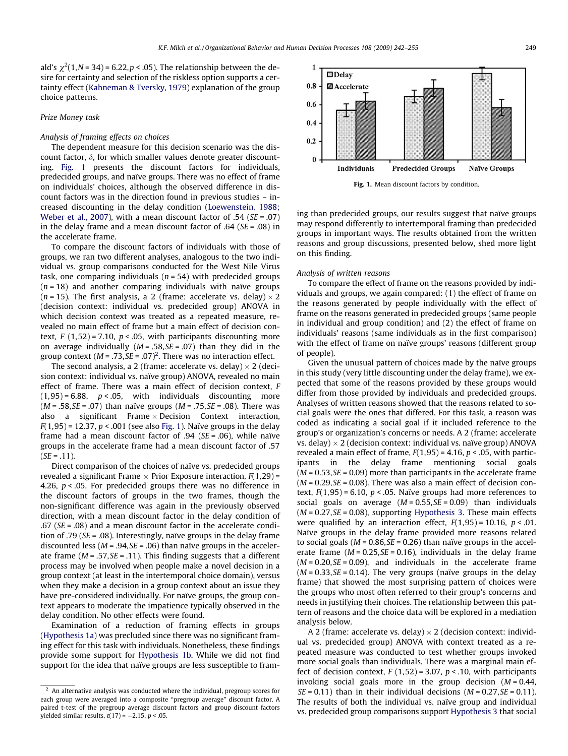K.F. Milch et al. / Organizational Behavior and Human Decision Processes 108 (2009) 242–255 249

ald's  $\chi^2(1, N = 34) = 6.22, p < .05$ ). The relationship between the desire for certainty and selection of the riskless option supports a certainty effect [\(Kahneman & Tversky, 1979\)](#page-12-0) explanation of the group choice patterns.

## Prize Money task

## Analysis of framing effects on choices

The dependent measure for this decision scenario was the discount factor,  $\delta$ , for which smaller values denote greater discounting. Fig. 1 presents the discount factors for individuals, predecided groups, and naïve groups. There was no effect of frame on individuals' choices, although the observed difference in discount factors was in the direction found in previous studies – increased discounting in the delay condition [\(Loewenstein, 1988;](#page-13-0) [Weber et al., 2007\)](#page-13-0), with a mean discount factor of  $.54$  (SE = .07) in the delay frame and a mean discount factor of  $.64$  (SE =  $.08$ ) in the accelerate frame.

To compare the discount factors of individuals with those of groups, we ran two different analyses, analogous to the two individual vs. group comparisons conducted for the West Nile Virus task, one comparing individuals ( $n = 54$ ) with predecided groups  $(n = 18)$  and another comparing individuals with naïve groups  $(n = 15)$ . The first analysis, a 2 (frame: accelerate vs. delay)  $\times$  2 (decision context: individual vs. predecided group) ANOVA in which decision context was treated as a repeated measure, revealed no main effect of frame but a main effect of decision context,  $F(1,52) = 7.10$ ,  $p < .05$ , with participants discounting more on average individually  $(M = .58, SE = .07)$  than they did in the group context  $(M = .73, SE = .07)^2$ . There was no interaction effect.

The second analysis, a 2 (frame: accelerate vs. delay)  $\times$  2 (decision context: individual vs. naïve group) ANOVA, revealed no main effect of frame. There was a main effect of decision context, F  $(1,95) = 6.88$ ,  $p < .05$ , with individuals discounting more  $(M = .58, SE = .07)$  than naïve groups  $(M = .75, SE = .08)$ . There was also a significant Frame  $\times$  Decision Context interaction,  $F(1,95) = 12.37$ ,  $p < .001$  (see also Fig. 1). Naïve groups in the delay frame had a mean discount factor of  $.94$  (SE =  $.06$ ), while naïve groups in the accelerate frame had a mean discount factor of .57  $(SE = .11)$ .

Direct comparison of the choices of naïve vs. predecided groups revealed a significant Frame  $\times$  Prior Exposure interaction,  $F(1,29)$  = 4.26,  $p < 0.05$ . For predecided groups there was no difference in the discount factors of groups in the two frames, though the non-significant difference was again in the previously observed direction, with a mean discount factor in the delay condition of  $.67$  (SE = .08) and a mean discount factor in the accelerate condition of .79 (SE = .08). Interestingly, naïve groups in the delay frame discounted less ( $M = .94$ ,  $SE = .06$ ) than naïve groups in the accelerate frame  $(M = .57, SE = .11)$ . This finding suggests that a different process may be involved when people make a novel decision in a group context (at least in the intertemporal choice domain), versus when they make a decision in a group context about an issue they have pre-considered individually. For naïve groups, the group context appears to moderate the impatience typically observed in the delay condition. No other effects were found.

Examination of a reduction of framing effects in groups ([Hypothesis 1a\)](#page-2-0) was precluded since there was no significant framing effect for this task with individuals. Nonetheless, these findings provide some support for [Hypothesis 1b.](#page-2-0) While we did not find support for the idea that naïve groups are less susceptible to fram-



Fig. 1. Mean discount factors by condition.

ing than predecided groups, our results suggest that naïve groups may respond differently to intertemporal framing than predecided groups in important ways. The results obtained from the written reasons and group discussions, presented below, shed more light on this finding.

## Analysis of written reasons

To compare the effect of frame on the reasons provided by individuals and groups, we again compared: (1) the effect of frame on the reasons generated by people individually with the effect of frame on the reasons generated in predecided groups (same people in individual and group condition) and (2) the effect of frame on individuals' reasons (same individuals as in the first comparison) with the effect of frame on naïve groups' reasons (different group of people).

Given the unusual pattern of choices made by the naïve groups in this study (very little discounting under the delay frame), we expected that some of the reasons provided by these groups would differ from those provided by individuals and predecided groups. Analyses of written reasons showed that the reasons related to social goals were the ones that differed. For this task, a reason was coded as indicating a social goal if it included reference to the group's or organization's concerns or needs. A 2 (frame: accelerate vs. delay)  $\times$  2 (decision context: individual vs. naïve group) ANOVA revealed a main effect of frame,  $F(1,95) = 4.16$ ,  $p < .05$ , with participants in the delay frame mentioning social goals  $(M = 0.53, SE = 0.09)$  more than participants in the accelerate frame  $(M = 0.29, SE = 0.08)$ . There was also a main effect of decision context,  $F(1,95) = 6.10$ ,  $p < .05$ . Naïve groups had more references to social goals on average  $(M = 0.55, SE = 0.09)$  than individuals  $(M = 0.27, SE = 0.08)$ , supporting [Hypothesis 3](#page-3-0). These main effects were qualified by an interaction effect,  $F(1,95) = 10.16$ ,  $p < .01$ . Naïve groups in the delay frame provided more reasons related to social goals ( $M = 0.86$ ,  $SE = 0.26$ ) than naïve groups in the accelerate frame  $(M = 0.25, SE = 0.16)$ , individuals in the delay frame  $(M = 0.20, SE = 0.09)$ , and individuals in the accelerate frame  $(M = 0.33, SE = 0.14)$ . The very groups (naïve groups in the delay frame) that showed the most surprising pattern of choices were the groups who most often referred to their group's concerns and needs in justifying their choices. The relationship between this pattern of reasons and the choice data will be explored in a mediation analysis below.

A 2 (frame: accelerate vs. delay)  $\times$  2 (decision context: individual vs. predecided group) ANOVA with context treated as a repeated measure was conducted to test whether groups invoked more social goals than individuals. There was a marginal main effect of decision context,  $F(1,52) = 3.07$ ,  $p < .10$ , with participants invoking social goals more in the group decision  $(M = 0.44,$  $SE = 0.11$ ) than in their individual decisions ( $M = 0.27$ ,  $SE = 0.11$ ). The results of both the individual vs. naïve group and individual vs. predecided group comparisons support [Hypothesis 3](#page-3-0) that social

 $2$  An alternative analysis was conducted where the individual, pregroup scores for each group were averaged into a composite ''pregroup average" discount factor. A paired t-test of the pregroup average discount factors and group discount factors yielded similar results,  $t(17)$  =  $-2.15$ ,  $p < .05$ .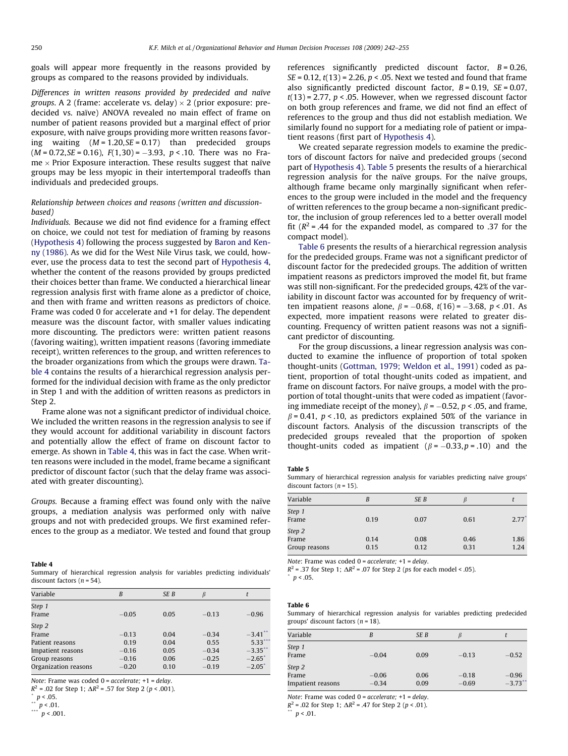goals will appear more frequently in the reasons provided by groups as compared to the reasons provided by individuals.

Differences in written reasons provided by predecided and naïve groups. A 2 (frame: accelerate vs. delay)  $\times$  2 (prior exposure: predecided vs. naïve) ANOVA revealed no main effect of frame on number of patient reasons provided but a marginal effect of prior exposure, with naïve groups providing more written reasons favoring waiting  $(M = 1.20, SE = 0.17)$  than predecided groups  $(M = 0.72, SE = 0.16)$ ,  $F(1,30) = -3.93$ ,  $p < .10$ . There was no Fra $me \times$  Prior Exposure interaction. These results suggest that naïve groups may be less myopic in their intertemporal tradeoffs than individuals and predecided groups.

# Relationship between choices and reasons (written and discussionbased)

Individuals. Because we did not find evidence for a framing effect on choice, we could not test for mediation of framing by reasons ([Hypothesis 4](#page-3-0)) following the process suggested by [Baron and Ken](#page-12-0)[ny \(1986\).](#page-12-0) As we did for the West Nile Virus task, we could, however, use the process data to test the second part of [Hypothesis 4,](#page-3-0) whether the content of the reasons provided by groups predicted their choices better than frame. We conducted a hierarchical linear regression analysis first with frame alone as a predictor of choice, and then with frame and written reasons as predictors of choice. Frame was coded 0 for accelerate and +1 for delay. The dependent measure was the discount factor, with smaller values indicating more discounting. The predictors were: written patient reasons (favoring waiting), written impatient reasons (favoring immediate receipt), written references to the group, and written references to the broader organizations from which the groups were drawn. Table 4 contains the results of a hierarchical regression analysis performed for the individual decision with frame as the only predictor in Step 1 and with the addition of written reasons as predictors in Step 2.

Frame alone was not a significant predictor of individual choice. We included the written reasons in the regression analysis to see if they would account for additional variability in discount factors and potentially allow the effect of frame on discount factor to emerge. As shown in Table 4, this was in fact the case. When written reasons were included in the model, frame became a significant predictor of discount factor (such that the delay frame was associated with greater discounting).

Groups. Because a framing effect was found only with the naïve groups, a mediation analysis was performed only with naïve groups and not with predecided groups. We first examined references to the group as a mediator. We tested and found that group

#### Table 4

Summary of hierarchical regression analysis for variables predicting individuals' discount factors ( $n = 54$ ).

| Variable             | B       | SE B | ß       |                      |
|----------------------|---------|------|---------|----------------------|
| Step 1               |         |      |         |                      |
| Frame                | $-0.05$ | 0.05 | $-0.13$ | $-0.96$              |
| Step 2               |         |      |         |                      |
| Frame                | $-0.13$ | 0.04 | $-0.34$ | $-3.41$ <sup>*</sup> |
| Patient reasons      | 0.19    | 0.04 | 0.55    | 5.33                 |
| Impatient reasons    | $-0.16$ | 0.05 | $-0.34$ | $-3.35$ *            |
| Group reasons        | $-0.16$ | 0.06 | $-0.25$ | $-2.65^*$            |
| Organization reasons | $-0.20$ | 0.10 | $-0.19$ | $-2.05$ <sup>*</sup> |

Note: Frame was coded  $0 = accelerate$ ; +1 = delay.

 $R^2$  = .02 for Step 1:  $\Delta R^2$  = .57 for Step 2 (p < .001).

 $p < 0.05$ .

\*\*  $p < .01$ .

 $p < .001.$ 

references significantly predicted discount factor,  $B = 0.26$ ,  $SE = 0.12$ ,  $t(13) = 2.26$ ,  $p < .05$ . Next we tested and found that frame also significantly predicted discount factor,  $B = 0.19$ ,  $SE = 0.07$ ,  $t(13) = 2.77$ ,  $p < .05$ . However, when we regressed discount factor on both group references and frame, we did not find an effect of references to the group and thus did not establish mediation. We similarly found no support for a mediating role of patient or impatient reasons (first part of [Hypothesis 4\)](#page-3-0).

We created separate regression models to examine the predictors of discount factors for naïve and predecided groups (second part of [Hypothesis](#page-3-0) 4). Table 5 presents the results of a hierarchical regression analysis for the naïve groups. For the naïve groups, although frame became only marginally significant when references to the group were included in the model and the frequency of written references to the group became a non-significant predictor, the inclusion of group references led to a better overall model fit ( $R^2$  = .44 for the expanded model, as compared to .37 for the compact model).

Table 6 presents the results of a hierarchical regression analysis for the predecided groups. Frame was not a significant predictor of discount factor for the predecided groups. The addition of written impatient reasons as predictors improved the model fit, but frame was still non-significant. For the predecided groups, 42% of the variability in discount factor was accounted for by frequency of written impatient reasons alone,  $\beta = -0.68$ ,  $t(16) = -3.68$ ,  $p < .01$ . As expected, more impatient reasons were related to greater discounting. Frequency of written patient reasons was not a significant predictor of discounting.

For the group discussions, a linear regression analysis was conducted to examine the influence of proportion of total spoken thought-units [\(Gottman, 1979; Weldon et al., 1991](#page-12-0)) coded as patient, proportion of total thought-units coded as impatient, and frame on discount factors. For naïve groups, a model with the proportion of total thought-units that were coded as impatient (favoring immediate receipt of the money),  $\beta$  =  $-0.52$ ,  $p$  < .05, and frame,  $\beta$  = 0.41, p < .10, as predictors explained 50% of the variance in discount factors. Analysis of the discussion transcripts of the predecided groups revealed that the proportion of spoken thought-units coded as impatient ( $\beta = -0.33$ ,  $p = .10$ ) and the

#### Table 5

Summary of hierarchical regression analysis for variables predicting naïve groups' discount factors ( $n = 15$ ).

| Variable      | B    | SE B |      |                  |
|---------------|------|------|------|------------------|
| Step 1        |      |      |      |                  |
| Frame         | 0.19 | 0.07 | 0.61 | $2.77^{\degree}$ |
| Step 2        |      |      |      |                  |
| Frame         | 0.14 | 0.08 | 0.46 | 1.86             |
| Group reasons | 0.15 | 0.12 | 0.31 | 1.24             |

Note: Frame was coded  $0 = accelerate$ ; +1 = delay.

 $R^2$  = .37 for Step 1;  $\Delta R^2$  = .07 for Step 2 (ps for each model < .05).  $n < .05$ .

## Table 6

Summary of hierarchical regression analysis for variables predicting predecided groups' discount factors ( $n = 18$ ).

| B       | SE B |         |            |
|---------|------|---------|------------|
|         |      |         |            |
| $-0.04$ | 0.09 | $-0.13$ | $-0.52$    |
|         |      |         |            |
| $-0.06$ | 0.06 | $-0.18$ | $-0.96$    |
| $-0.34$ | 0.09 | $-0.69$ | $-3.73$ ** |
|         |      |         |            |

Note: Frame was coded  $0 = accelerate$ ; +1 = delay.

 $R^2$  = .02 for Step 1;  $\Delta R^2$  = .47 for Step 2 (p < .01).

 $p < .01$ .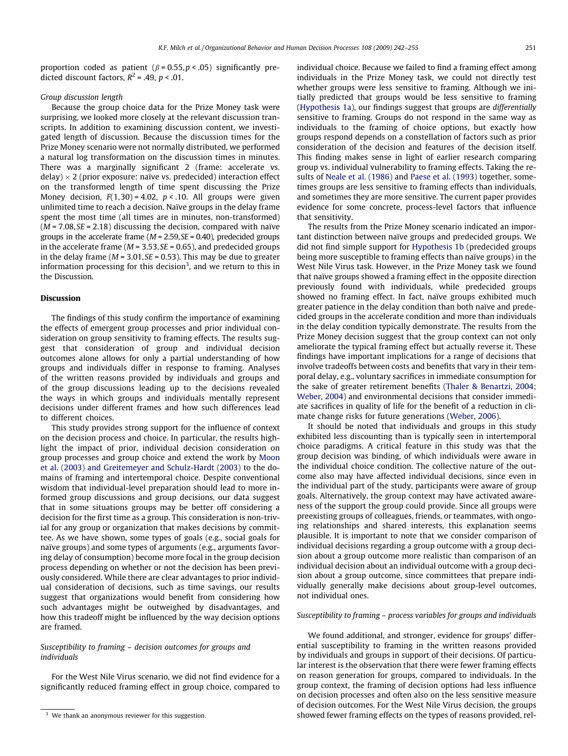proportion coded as patient ( $\beta$  = 0.55,  $p$  < .05) significantly predicted discount factors,  $R^2$  = .49,  $p < .01$ .

#### Group discussion length

Because the group choice data for the Prize Money task were surprising, we looked more closely at the relevant discussion transcripts. In addition to examining discussion content, we investigated length of discussion. Because the discussion times for the Prize Money scenario were not normally distributed, we performed a natural log transformation on the discussion times in minutes. There was a marginally significant 2 (frame: accelerate vs. delay)  $\times$  2 (prior exposure: naïve vs. predecided) interaction effect on the transformed length of time spent discussing the Prize Money decision,  $F(1,30) = 4.02$ ,  $p < .10$ . All groups were given unlimited time to reach a decision. Naïve groups in the delay frame spent the most time (all times are in minutes, non-transformed)  $(M = 7.08, SE = 2.18)$  discussing the decision, compared with naïve groups in the accelerate frame ( $M = 2.59$ ,  $SE = 0.40$ ), predecided groups in the accelerate frame ( $M = 3.53$ ,  $SE = 0.65$ ), and predecided groups in the delay frame ( $M = 3.01$ ,  $SE = 0.53$ ). This may be due to greater information processing for this decision<sup>3</sup>, and we return to this in the Discussion.

## Discussion

The findings of this study confirm the importance of examining the effects of emergent group processes and prior individual consideration on group sensitivity to framing effects. The results suggest that consideration of group and individual decision outcomes alone allows for only a partial understanding of how groups and individuals differ in response to framing. Analyses of the written reasons provided by individuals and groups and of the group discussions leading up to the decisions revealed the ways in which groups and individuals mentally represent decisions under different frames and how such differences lead to different choices.

This study provides strong support for the influence of context on the decision process and choice. In particular, the results highlight the impact of prior, individual decision consideration on group processes and group choice and extend the work by [Moon](#page-13-0) [et al. \(2003\) and Greitemeyer and Schulz-Hardt \(2003\)](#page-13-0) to the domains of framing and intertemporal choice. Despite conventional wisdom that individual-level preparation should lead to more informed group discussions and group decisions, our data suggest that in some situations groups may be better off considering a decision for the first time as a group. This consideration is non-trivial for any group or organization that makes decisions by committee. As we have shown, some types of goals (e.g., social goals for naïve groups) and some types of arguments (e.g., arguments favoring delay of consumption) become more focal in the group decision process depending on whether or not the decision has been previously considered. While there are clear advantages to prior individual consideration of decisions, such as time savings, our results suggest that organizations would benefit from considering how such advantages might be outweighed by disadvantages, and how this tradeoff might be influenced by the way decision options are framed.

# Susceptibility to framing – decision outcomes for groups and individuals

For the West Nile Virus scenario, we did not find evidence for a significantly reduced framing effect in group choice, compared to individual choice. Because we failed to find a framing effect among individuals in the Prize Money task, we could not directly test whether groups were less sensitive to framing. Although we initially predicted that groups would be less sensitive to framing ([Hypothesis 1a](#page-2-0)), our findings suggest that groups are differentially sensitive to framing. Groups do not respond in the same way as individuals to the framing of choice options, but exactly how groups respond depends on a constellation of factors such as prior consideration of the decision and features of the decision itself. This finding makes sense in light of earlier research comparing group vs. individual vulnerability to framing effects. Taking the results of [Neale et al. \(1986\)](#page-13-0) and [Paese et al. \(1993\)](#page-13-0) together, sometimes groups are less sensitive to framing effects than individuals, and sometimes they are more sensitive. The current paper provides evidence for some concrete, process-level factors that influence that sensitivity.

The results from the Prize Money scenario indicated an important distinction between naïve groups and predecided groups. We did not find simple support for [Hypothesis 1b](#page-2-0) (predecided groups being more susceptible to framing effects than naïve groups) in the West Nile Virus task. However, in the Prize Money task we found that naïve groups showed a framing effect in the opposite direction previously found with individuals, while predecided groups showed no framing effect. In fact, naïve groups exhibited much greater patience in the delay condition than both naïve and predecided groups in the accelerate condition and more than individuals in the delay condition typically demonstrate. The results from the Prize Money decision suggest that the group context can not only ameliorate the typical framing effect but actually reverse it. These findings have important implications for a range of decisions that involve tradeoffs between costs and benefits that vary in their temporal delay, e.g., voluntary sacrifices in immediate consumption for the sake of greater retirement benefits [\(Thaler & Benartzi, 2004;](#page-13-0) [Weber, 2004\)](#page-13-0) and environmental decisions that consider immediate sacrifices in quality of life for the benefit of a reduction in climate change risks for future generations ([Weber, 2006](#page-13-0)).

It should be noted that individuals and groups in this study exhibited less discounting than is typically seen in intertemporal choice paradigms. A critical feature in this study was that the group decision was binding, of which individuals were aware in the individual choice condition. The collective nature of the outcome also may have affected individual decisions, since even in the individual part of the study, participants were aware of group goals. Alternatively, the group context may have activated awareness of the support the group could provide. Since all groups were preexisting groups of colleagues, friends, or teammates, with ongoing relationships and shared interests, this explanation seems plausible. It is important to note that we consider comparison of individual decisions regarding a group outcome with a group decision about a group outcome more realistic than comparison of an individual decision about an individual outcome with a group decision about a group outcome, since committees that prepare individually generally make decisions about group-level outcomes, not individual ones.

## Susceptibility to framing – process variables for groups and individuals

We found additional, and stronger, evidence for groups' differential susceptibility to framing in the written reasons provided by individuals and groups in support of their decisions. Of particular interest is the observation that there were fewer framing effects on reason generation for groups, compared to individuals. In the group context, the framing of decision options had less influence on decision processes and often also on the less sensitive measure of decision outcomes. For the West Nile Virus decision, the groups <sup>3</sup> We thank an anonymous reviewer for this suggestion. The showed fewer framing effects on the types of reasons provided, rel-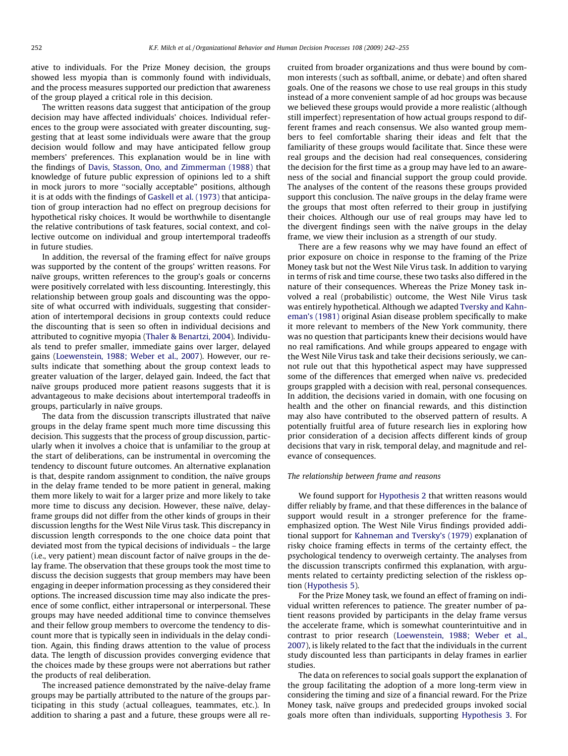ative to individuals. For the Prize Money decision, the groups showed less myopia than is commonly found with individuals, and the process measures supported our prediction that awareness of the group played a critical role in this decision.

The written reasons data suggest that anticipation of the group decision may have affected individuals' choices. Individual references to the group were associated with greater discounting, suggesting that at least some individuals were aware that the group decision would follow and may have anticipated fellow group members' preferences. This explanation would be in line with the findings of [Davis, Stasson, Ono, and Zimmerman \(1988\)](#page-12-0) that knowledge of future public expression of opinions led to a shift in mock jurors to more ''socially acceptable" positions, although it is at odds with the findings of [Gaskell et al. \(1973\)](#page-12-0) that anticipation of group interaction had no effect on pregroup decisions for hypothetical risky choices. It would be worthwhile to disentangle the relative contributions of task features, social context, and collective outcome on individual and group intertemporal tradeoffs in future studies.

In addition, the reversal of the framing effect for naïve groups was supported by the content of the groups' written reasons. For naïve groups, written references to the group's goals or concerns were positively correlated with less discounting. Interestingly, this relationship between group goals and discounting was the opposite of what occurred with individuals, suggesting that consideration of intertemporal decisions in group contexts could reduce the discounting that is seen so often in individual decisions and attributed to cognitive myopia [\(Thaler & Benartzi, 2004\)](#page-13-0). Individuals tend to prefer smaller, immediate gains over larger, delayed gains ([Loewenstein, 1988; Weber et al., 2007](#page-13-0)). However, our results indicate that something about the group context leads to greater valuation of the larger, delayed gain. Indeed, the fact that naïve groups produced more patient reasons suggests that it is advantageous to make decisions about intertemporal tradeoffs in groups, particularly in naïve groups.

The data from the discussion transcripts illustrated that naïve groups in the delay frame spent much more time discussing this decision. This suggests that the process of group discussion, particularly when it involves a choice that is unfamiliar to the group at the start of deliberations, can be instrumental in overcoming the tendency to discount future outcomes. An alternative explanation is that, despite random assignment to condition, the naïve groups in the delay frame tended to be more patient in general, making them more likely to wait for a larger prize and more likely to take more time to discuss any decision. However, these naïve, delayframe groups did not differ from the other kinds of groups in their discussion lengths for the West Nile Virus task. This discrepancy in discussion length corresponds to the one choice data point that deviated most from the typical decisions of individuals – the large (i.e., very patient) mean discount factor of naïve groups in the delay frame. The observation that these groups took the most time to discuss the decision suggests that group members may have been engaging in deeper information processing as they considered their options. The increased discussion time may also indicate the presence of some conflict, either intrapersonal or interpersonal. These groups may have needed additional time to convince themselves and their fellow group members to overcome the tendency to discount more that is typically seen in individuals in the delay condition. Again, this finding draws attention to the value of process data. The length of discussion provides converging evidence that the choices made by these groups were not aberrations but rather the products of real deliberation.

The increased patience demonstrated by the naïve-delay frame groups may be partially attributed to the nature of the groups participating in this study (actual colleagues, teammates, etc.). In addition to sharing a past and a future, these groups were all recruited from broader organizations and thus were bound by common interests (such as softball, anime, or debate) and often shared goals. One of the reasons we chose to use real groups in this study instead of a more convenient sample of ad hoc groups was because we believed these groups would provide a more realistic (although still imperfect) representation of how actual groups respond to different frames and reach consensus. We also wanted group members to feel comfortable sharing their ideas and felt that the familiarity of these groups would facilitate that. Since these were real groups and the decision had real consequences, considering the decision for the first time as a group may have led to an awareness of the social and financial support the group could provide. The analyses of the content of the reasons these groups provided support this conclusion. The naïve groups in the delay frame were the groups that most often referred to their group in justifying their choices. Although our use of real groups may have led to the divergent findings seen with the naïve groups in the delay frame, we view their inclusion as a strength of our study.

There are a few reasons why we may have found an effect of prior exposure on choice in response to the framing of the Prize Money task but not the West Nile Virus task. In addition to varying in terms of risk and time course, these two tasks also differed in the nature of their consequences. Whereas the Prize Money task involved a real (probabilistic) outcome, the West Nile Virus task was entirely hypothetical. Although we adapted [Tversky and Kahn](#page-13-0)[eman's \(1981\)](#page-13-0) original Asian disease problem specifically to make it more relevant to members of the New York community, there was no question that participants knew their decisions would have no real ramifications. And while groups appeared to engage with the West Nile Virus task and take their decisions seriously, we cannot rule out that this hypothetical aspect may have suppressed some of the differences that emerged when naïve vs. predecided groups grappled with a decision with real, personal consequences. In addition, the decisions varied in domain, with one focusing on health and the other on financial rewards, and this distinction may also have contributed to the observed pattern of results. A potentially fruitful area of future research lies in exploring how prior consideration of a decision affects different kinds of group decisions that vary in risk, temporal delay, and magnitude and relevance of consequences.

#### The relationship between frame and reasons

We found support for [Hypothesis 2](#page-2-0) that written reasons would differ reliably by frame, and that these differences in the balance of support would result in a stronger preference for the frameemphasized option. The West Nile Virus findings provided additional support for [Kahneman and Tversky's \(1979\)](#page-12-0) explanation of risky choice framing effects in terms of the certainty effect, the psychological tendency to overweigh certainty. The analyses from the discussion transcripts confirmed this explanation, with arguments related to certainty predicting selection of the riskless option [\(Hypothesis 5](#page-3-0)).

For the Prize Money task, we found an effect of framing on individual written references to patience. The greater number of patient reasons provided by participants in the delay frame versus the accelerate frame, which is somewhat counterintuitive and in contrast to prior research [\(Loewenstein, 1988; Weber et al.,](#page-13-0) [2007\)](#page-13-0), is likely related to the fact that the individuals in the current study discounted less than participants in delay frames in earlier studies.

The data on references to social goals support the explanation of the group facilitating the adoption of a more long-term view in considering the timing and size of a financial reward. For the Prize Money task, naïve groups and predecided groups invoked social goals more often than individuals, supporting [Hypothesis 3](#page-3-0). For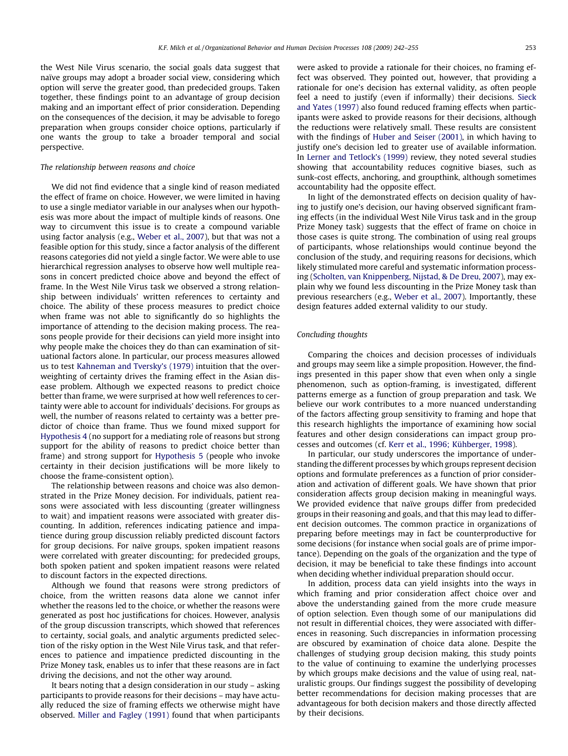the West Nile Virus scenario, the social goals data suggest that naïve groups may adopt a broader social view, considering which option will serve the greater good, than predecided groups. Taken together, these findings point to an advantage of group decision making and an important effect of prior consideration. Depending on the consequences of the decision, it may be advisable to forego preparation when groups consider choice options, particularly if one wants the group to take a broader temporal and social perspective.

#### The relationship between reasons and choice

We did not find evidence that a single kind of reason mediated the effect of frame on choice. However, we were limited in having to use a single mediator variable in our analyses when our hypothesis was more about the impact of multiple kinds of reasons. One way to circumvent this issue is to create a compound variable using factor analysis (e.g., [Weber et al., 2007\)](#page-13-0), but that was not a feasible option for this study, since a factor analysis of the different reasons categories did not yield a single factor. We were able to use hierarchical regression analyses to observe how well multiple reasons in concert predicted choice above and beyond the effect of frame. In the West Nile Virus task we observed a strong relationship between individuals' written references to certainty and choice. The ability of these process measures to predict choice when frame was not able to significantly do so highlights the importance of attending to the decision making process. The reasons people provide for their decisions can yield more insight into why people make the choices they do than can examination of situational factors alone. In particular, our process measures allowed us to test [Kahneman and Tversky's \(1979\)](#page-12-0) intuition that the overweighting of certainty drives the framing effect in the Asian disease problem. Although we expected reasons to predict choice better than frame, we were surprised at how well references to certainty were able to account for individuals' decisions. For groups as well, the number of reasons related to certainty was a better predictor of choice than frame. Thus we found mixed support for [Hypothesis 4](#page-3-0) (no support for a mediating role of reasons but strong support for the ability of reasons to predict choice better than frame) and strong support for [Hypothesis 5](#page-3-0) (people who invoke certainty in their decision justifications will be more likely to choose the frame-consistent option).

The relationship between reasons and choice was also demonstrated in the Prize Money decision. For individuals, patient reasons were associated with less discounting (greater willingness to wait) and impatient reasons were associated with greater discounting. In addition, references indicating patience and impatience during group discussion reliably predicted discount factors for group decisions. For naïve groups, spoken impatient reasons were correlated with greater discounting; for predecided groups, both spoken patient and spoken impatient reasons were related to discount factors in the expected directions.

Although we found that reasons were strong predictors of choice, from the written reasons data alone we cannot infer whether the reasons led to the choice, or whether the reasons were generated as post hoc justifications for choices. However, analysis of the group discussion transcripts, which showed that references to certainty, social goals, and analytic arguments predicted selection of the risky option in the West Nile Virus task, and that references to patience and impatience predicted discounting in the Prize Money task, enables us to infer that these reasons are in fact driving the decisions, and not the other way around.

It bears noting that a design consideration in our study – asking participants to provide reasons for their decisions – may have actually reduced the size of framing effects we otherwise might have observed. [Miller and Fagley \(1991\)](#page-13-0) found that when participants were asked to provide a rationale for their choices, no framing effect was observed. They pointed out, however, that providing a rationale for one's decision has external validity, as often people feel a need to justify (even if informally) their decisions. [Sieck](#page-13-0) [and Yates \(1997\)](#page-13-0) also found reduced framing effects when participants were asked to provide reasons for their decisions, although the reductions were relatively small. These results are consistent with the findings of [Huber and Seiser \(2001\),](#page-12-0) in which having to justify one's decision led to greater use of available information. In [Lerner and Tetlock's \(1999\)](#page-13-0) review, they noted several studies showing that accountability reduces cognitive biases, such as sunk-cost effects, anchoring, and groupthink, although sometimes accountability had the opposite effect.

In light of the demonstrated effects on decision quality of having to justify one's decision, our having observed significant framing effects (in the individual West Nile Virus task and in the group Prize Money task) suggests that the effect of frame on choice in those cases is quite strong. The combination of using real groups of participants, whose relationships would continue beyond the conclusion of the study, and requiring reasons for decisions, which likely stimulated more careful and systematic information processing ([Scholten, van Knippenberg, Nijstad, & De Dreu, 2007](#page-13-0)), may explain why we found less discounting in the Prize Money task than previous researchers (e.g., Weber et [al., 2007](#page-13-0)). Importantly, these design features added external validity to our study.

#### Concluding thoughts

Comparing the choices and decision processes of individuals and groups may seem like a simple proposition. However, the findings presented in this paper show that even when only a single phenomenon, such as option-framing, is investigated, different patterns emerge as a function of group preparation and task. We believe our work contributes to a more nuanced understanding of the factors affecting group sensitivity to framing and hope that this research highlights the importance of examining how social features and other design considerations can impact group processes and outcomes (cf. [Kerr et al., 1996; Kühberger, 1998\)](#page-12-0).

In particular, our study underscores the importance of understanding the different processes by which groups represent decision options and formulate preferences as a function of prior consideration and activation of different goals. We have shown that prior consideration affects group decision making in meaningful ways. We provided evidence that naïve groups differ from predecided groups in their reasoning and goals, and that this may lead to different decision outcomes. The common practice in organizations of preparing before meetings may in fact be counterproductive for some decisions (for instance when social goals are of prime importance). Depending on the goals of the organization and the type of decision, it may be beneficial to take these findings into account when deciding whether individual preparation should occur.

In addition, process data can yield insights into the ways in which framing and prior consideration affect choice over and above the understanding gained from the more crude measure of option selection. Even though some of our manipulations did not result in differential choices, they were associated with differences in reasoning. Such discrepancies in information processing are obscured by examination of choice data alone. Despite the challenges of studying group decision making, this study points to the value of continuing to examine the underlying processes by which groups make decisions and the value of using real, naturalistic groups. Our findings suggest the possibility of developing better recommendations for decision making processes that are advantageous for both decision makers and those directly affected by their decisions.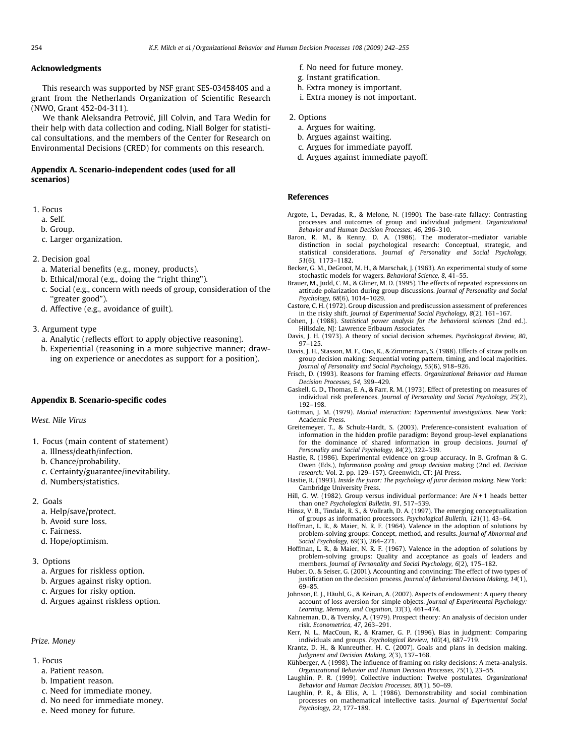# <span id="page-12-0"></span>Acknowledgments

This research was supported by NSF grant SES-0345840S and a grant from the Netherlands Organization of Scientific Research (NWO, Grant 452-04-311).

We thank Aleksandra Petrović, Jill Colvin, and Tara Wedin for their help with data collection and coding, Niall Bolger for statistical consultations, and the members of the Center for Research on Environmental Decisions (CRED) for comments on this research.

# Appendix A. Scenario-independent codes (used for all scenarios)

- 1. Focus
	- a. Self.
	- b. Group.
	- c. Larger organization.
- 2. Decision goal
	- a. Material benefits (e.g., money, products).
	- b. Ethical/moral (e.g., doing the "right thing").
	- c. Social (e.g., concern with needs of group, consideration of the ''greater good").
	- d. Affective (e.g., avoidance of guilt).
- 3. Argument type
	- a. Analytic (reflects effort to apply objective reasoning).
	- b. Experiential (reasoning in a more subjective manner; drawing on experience or anecdotes as support for a position).

## Appendix B. Scenario-specific codes

West. Nile Virus

- 1. Focus (main content of statement)
	- a. Illness/death/infection.
	- b. Chance/probability.
	- c. Certainty/guarantee/inevitability.
	- d. Numbers/statistics.
- 2. Goals
	- a. Help/save/protect.
	- b. Avoid sure loss.
	- c. Fairness.
	- d. Hope/optimism.
- 3. Options
	- a. Argues for riskless option.
	- b. Argues against risky option.
	- c. Argues for risky option.
	- d. Argues against riskless option.

# Prize. Money

- 1. Focus
	- a. Patient reason.
	- b. Impatient reason.
	- c. Need for immediate money.
	- d. No need for immediate money.
	- e. Need money for future.
- f. No need for future money.
- g. Instant gratification.
- h. Extra money is important.
- i. Extra money is not important.
- 2. Options
	- a. Argues for waiting.
	- b. Argues against waiting.
	- c. Argues for immediate payoff.
	- d. Argues against immediate payoff.

# References

- Argote, L., Devadas, R., & Melone, N. (1990). The base-rate fallacy: Contrasting processes and outcomes of group and individual judgment. Organizational Behavior and Human Decision Processes, 46, 296–310.
- Baron, R. M., & Kenny, D. A. (1986). The moderator–mediator variable distinction in social psychological research: Conceptual, strategic, and statistical considerations. Journal of Personality and Social Psychology, 51(6), 1173–1182.
- Becker, G. M., DeGroot, M. H., & Marschak, J. (1963). An experimental study of some stochastic models for wagers. Behavioral Science, 8, 41–55.
- Brauer, M., Judd, C. M., & Gliner, M. D. (1995). The effects of repeated expressions on attitude polarization during group discussions. Journal of Personality and Social Psychology, 68(6), 1014–1029.
- Castore, C. H. (1972). Group discussion and prediscussion assessment of preferences in the risky shift. Journal of Experimental Social Psychology, 8(2), 161–167.
- Cohen, J. (1988). Statistical power analysis for the behavioral sciences (2nd ed.). Hillsdale, NJ: Lawrence Erlbaum Associates.
- Davis, J. H. (1973). A theory of social decision schemes. Psychological Review, 80, 97–125.
- Davis, J. H., Stasson, M. F., Ono, K., & Zimmerman, S. (1988). Effects of straw polls on group decision making: Sequential voting pattern, timing, and local majorities. Journal of Personality and Social Psychology, 55(6), 918–926.
- Frisch, D. (1993). Reasons for framing effects. Organizational Behavior and Human Decision Processes, 54, 399–429.
- Gaskell, G. D., Thomas, E. A., & Farr, R. M. (1973). Effect of pretesting on measures of individual risk preferences. Journal of Personality and Social Psychology, 25(2), 192–198.
- Gottman, J. M. (1979). Marital interaction: Experimental investigations. New York: Academic Press.
- Greitemeyer, T., & Schulz-Hardt, S. (2003). Preference-consistent evaluation of information in the hidden profile paradigm: Beyond group-level explanations for the dominance of shared information in group decisions. Journal of Personality and Social Psychology, 84(2), 322–339.
- Hastie, R. (1986). Experimental evidence on group accuracy. In B. Grofman & G. Owen (Eds.), Information pooling and group decision making (2nd ed. Decision research: Vol. 2. pp. 129–157). Greenwich, CT: JAI Press.
- Hastie, R. (1993). Inside the juror: The psychology of juror decision making. New York: Cambridge University Press.
- Hill, G. W. (1982). Group versus individual performance: Are  $N+1$  heads better than one? Psychological Bulletin, 91, 517–539.
- Hinsz, V. B., Tindale, R. S., & Vollrath, D. A. (1997). The emerging conceptualization of groups as information processors. Psychological Bulletin, 121(1), 43–64.
- Hoffman, L. R., & Maier, N. R. F. (1964). Valence in the adoption of solutions by problem-solving groups: Concept, method, and results. Journal of Abnormal and Social Psychology, 69(3), 264–271.
- Hoffman, L. R., & Maier, N. R. F. (1967). Valence in the adoption of solutions by problem-solving groups: Quality and acceptance as goals of leaders and members. Journal of Personality and Social Psychology, 6(2), 175–182.
- Huber, O., & Seiser, G. (2001). Accounting and convincing: The effect of two types of justification on the decision process. Journal of Behavioral Decision Making, 14(1), 69–85.
- Johnson, E. J., Häubl, G., & Keinan, A. (2007). Aspects of endowment: A query theory account of loss aversion for simple objects. Journal of Experimental Psychology: Learning, Memory, and Cognition, 33(3), 461–474.
- Kahneman, D., & Tversky, A. (1979). Prospect theory: An analysis of decision under risk. Econometrica, 47, 263–291.
- Kerr, N. L., MacCoun, R., & Kramer, G. P. (1996). Bias in judgment: Comparing individuals and groups. Psychological Review, 103(4), 687–719.
- Krantz, D. H., & Kunreuther, H. C. (2007). Goals and plans in decision making. Judgment and Decision Making, 2(3), 137–168.
- Kühberger, A. (1998). The influence of framing on risky decisions: A meta-analysis. Organizational Behavior and Human Decision Processes, 75(1), 23–55.
- Laughlin, P. R. (1999). Collective induction: Twelve postulates. Organizational Behavior and Human Decision Processes, 80(1), 50–69.
- Laughlin, P. R., & Ellis, A. L. (1986). Demonstrability and social combination processes on mathematical intellective tasks. Journal of Experimental Social Psychology, 22, 177–189.